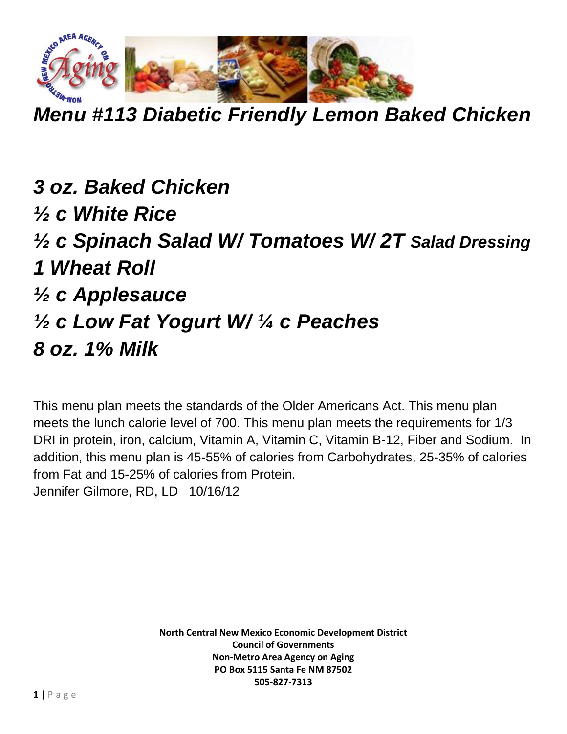

*Menu #113 Diabetic Friendly Lemon Baked Chicken*

*3 oz. Baked Chicken ½ c White Rice ½ c Spinach Salad W/ Tomatoes W/ 2T Salad Dressing 1 Wheat Roll ½ c Applesauce ½ c Low Fat Yogurt W/ ¼ c Peaches 8 oz. 1% Milk* 

This menu plan meets the standards of the Older Americans Act. This menu plan meets the lunch calorie level of 700. This menu plan meets the requirements for 1/3 DRI in protein, iron, calcium, Vitamin A, Vitamin C, Vitamin B-12, Fiber and Sodium. In addition, this menu plan is 45-55% of calories from Carbohydrates, 25-35% of calories from Fat and 15-25% of calories from Protein. Jennifer Gilmore, RD, LD 10/16/12

> **North Central New Mexico Economic Development District Council of Governments Non-Metro Area Agency on Aging PO Box 5115 Santa Fe NM 87502 505-827-7313**